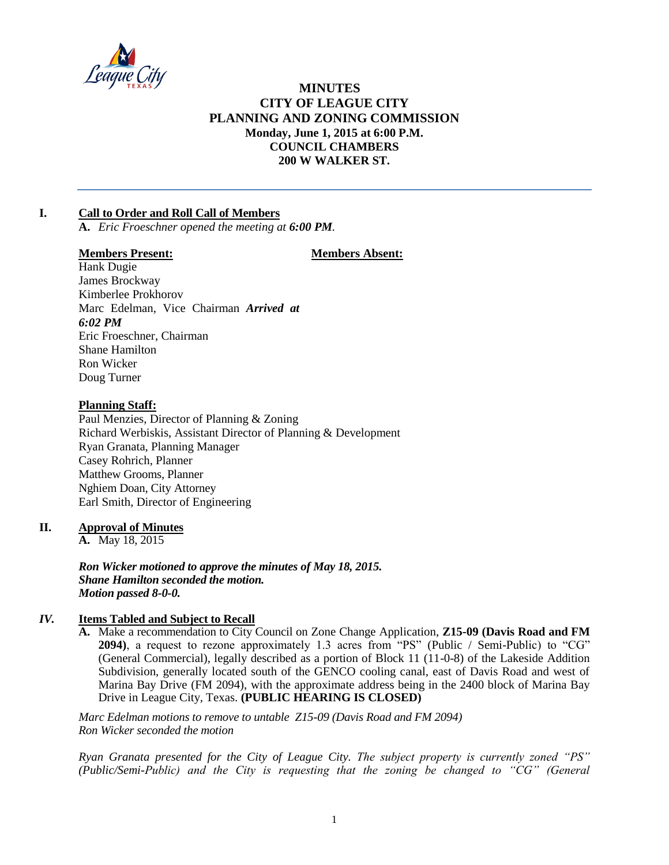

# **MINUTES CITY OF LEAGUE CITY PLANNING AND ZONING COMMISSION Monday, June 1, 2015 at 6:00 P.M. COUNCIL CHAMBERS 200 W WALKER ST.**

# **I. Call to Order and Roll Call of Members**

**A.** *Eric Froeschner opened the meeting at 6:00 PM.*

### **Members Present: Members Absent:**

Hank Dugie James Brockway Kimberlee Prokhorov Marc Edelman, Vice Chairman *Arrived at 6:02 PM* Eric Froeschner, Chairman Shane Hamilton Ron Wicker Doug Turner

### **Planning Staff:**

Paul Menzies, Director of Planning & Zoning Richard Werbiskis, Assistant Director of Planning & Development Ryan Granata, Planning Manager Casey Rohrich, Planner Matthew Grooms, Planner Nghiem Doan, City Attorney Earl Smith, Director of Engineering

### **II. Approval of Minutes**

**A.** May 18, 2015

*Ron Wicker motioned to approve the minutes of May 18, 2015. Shane Hamilton seconded the motion. Motion passed 8-0-0.*

## *IV.* **Items Tabled and Subject to Recall**

**A.** Make a recommendation to City Council on Zone Change Application, **Z15-09 (Davis Road and FM 2094)**, a request to rezone approximately 1.3 acres from "PS" (Public / Semi-Public) to "CG" (General Commercial), legally described as a portion of Block 11 (11-0-8) of the Lakeside Addition Subdivision, generally located south of the GENCO cooling canal, east of Davis Road and west of Marina Bay Drive (FM 2094), with the approximate address being in the 2400 block of Marina Bay Drive in League City, Texas. **(PUBLIC HEARING IS CLOSED)**

*Marc Edelman motions to remove to untable Z15-09 (Davis Road and FM 2094) Ron Wicker seconded the motion*

*Ryan Granata presented for the City of League City. The subject property is currently zoned "PS" (Public/Semi-Public) and the City is requesting that the zoning be changed to "CG" (General*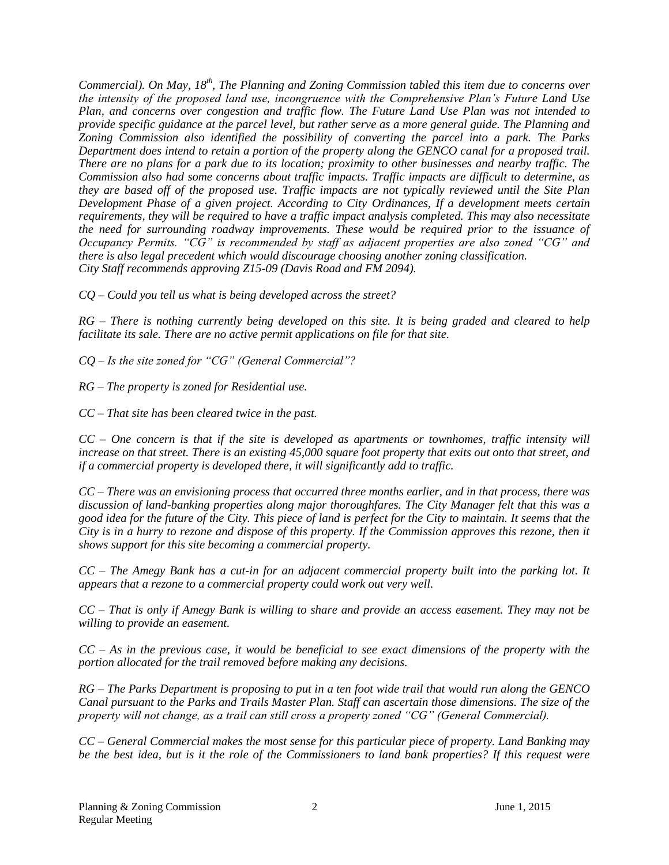*Commercial). On May, 18th, The Planning and Zoning Commission tabled this item due to concerns over the intensity of the proposed land use, incongruence with the Comprehensive Plan's Future Land Use Plan, and concerns over congestion and traffic flow. The Future Land Use Plan was not intended to provide specific guidance at the parcel level, but rather serve as a more general guide. The Planning and Zoning Commission also identified the possibility of converting the parcel into a park. The Parks Department does intend to retain a portion of the property along the GENCO canal for a proposed trail. There are no plans for a park due to its location; proximity to other businesses and nearby traffic. The Commission also had some concerns about traffic impacts. Traffic impacts are difficult to determine, as they are based off of the proposed use. Traffic impacts are not typically reviewed until the Site Plan Development Phase of a given project. According to City Ordinances, If a development meets certain requirements, they will be required to have a traffic impact analysis completed. This may also necessitate the need for surrounding roadway improvements. These would be required prior to the issuance of Occupancy Permits. "CG" is recommended by staff as adjacent properties are also zoned "CG" and there is also legal precedent which would discourage choosing another zoning classification. City Staff recommends approving Z15-09 (Davis Road and FM 2094).*

*CQ – Could you tell us what is being developed across the street?*

*RG – There is nothing currently being developed on this site. It is being graded and cleared to help facilitate its sale. There are no active permit applications on file for that site.* 

*CQ – Is the site zoned for "CG" (General Commercial"?*

*RG – The property is zoned for Residential use.* 

*CC – That site has been cleared twice in the past.* 

*CC – One concern is that if the site is developed as apartments or townhomes, traffic intensity will increase on that street. There is an existing 45,000 square foot property that exits out onto that street, and if a commercial property is developed there, it will significantly add to traffic.* 

*CC – There was an envisioning process that occurred three months earlier, and in that process, there was discussion of land-banking properties along major thoroughfares. The City Manager felt that this was a good idea for the future of the City. This piece of land is perfect for the City to maintain. It seems that the City is in a hurry to rezone and dispose of this property. If the Commission approves this rezone, then it shows support for this site becoming a commercial property.* 

*CC – The Amegy Bank has a cut-in for an adjacent commercial property built into the parking lot. It appears that a rezone to a commercial property could work out very well.* 

*CC – That is only if Amegy Bank is willing to share and provide an access easement. They may not be willing to provide an easement.* 

*CC – As in the previous case, it would be beneficial to see exact dimensions of the property with the portion allocated for the trail removed before making any decisions.*

*RG – The Parks Department is proposing to put in a ten foot wide trail that would run along the GENCO Canal pursuant to the Parks and Trails Master Plan. Staff can ascertain those dimensions. The size of the property will not change, as a trail can still cross a property zoned "CG" (General Commercial).* 

*CC – General Commercial makes the most sense for this particular piece of property. Land Banking may be the best idea, but is it the role of the Commissioners to land bank properties? If this request were*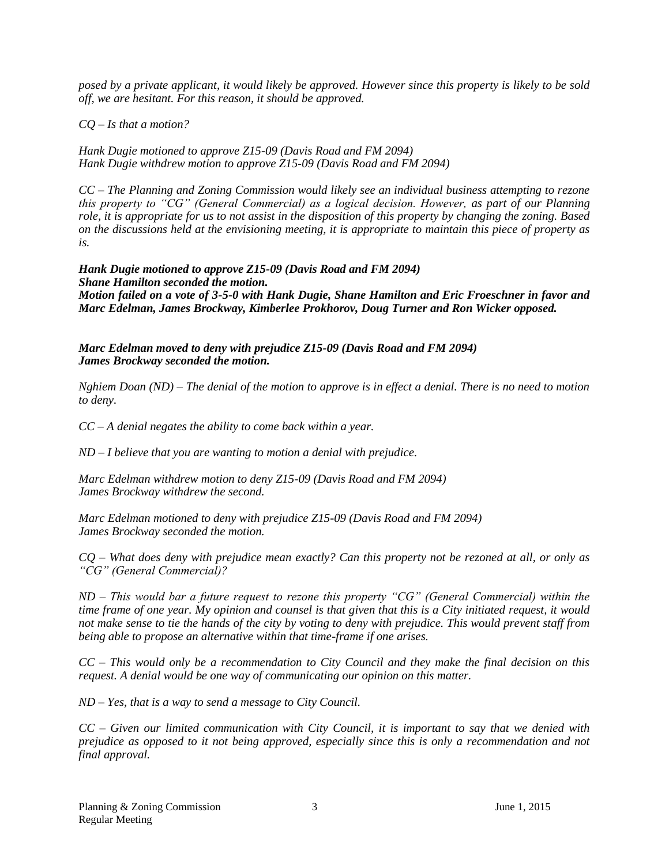*posed by a private applicant, it would likely be approved. However since this property is likely to be sold off, we are hesitant. For this reason, it should be approved.* 

*CQ – Is that a motion?*

*Hank Dugie motioned to approve Z15-09 (Davis Road and FM 2094) Hank Dugie withdrew motion to approve Z15-09 (Davis Road and FM 2094)*

*CC – The Planning and Zoning Commission would likely see an individual business attempting to rezone this property to "CG" (General Commercial) as a logical decision. However, as part of our Planning role, it is appropriate for us to not assist in the disposition of this property by changing the zoning. Based on the discussions held at the envisioning meeting, it is appropriate to maintain this piece of property as is.* 

*Hank Dugie motioned to approve Z15-09 (Davis Road and FM 2094) Shane Hamilton seconded the motion. Motion failed on a vote of 3-5-0 with Hank Dugie, Shane Hamilton and Eric Froeschner in favor and Marc Edelman, James Brockway, Kimberlee Prokhorov, Doug Turner and Ron Wicker opposed.* 

*Marc Edelman moved to deny with prejudice Z15-09 (Davis Road and FM 2094) James Brockway seconded the motion.* 

*Nghiem Doan (ND) – The denial of the motion to approve is in effect a denial. There is no need to motion to deny.* 

*CC – A denial negates the ability to come back within a year.* 

*ND – I believe that you are wanting to motion a denial with prejudice.* 

*Marc Edelman withdrew motion to deny Z15-09 (Davis Road and FM 2094) James Brockway withdrew the second.*

*Marc Edelman motioned to deny with prejudice Z15-09 (Davis Road and FM 2094) James Brockway seconded the motion.* 

*CQ – What does deny with prejudice mean exactly? Can this property not be rezoned at all, or only as "CG" (General Commercial)?* 

*ND – This would bar a future request to rezone this property "CG" (General Commercial) within the time frame of one year. My opinion and counsel is that given that this is a City initiated request, it would not make sense to tie the hands of the city by voting to deny with prejudice. This would prevent staff from being able to propose an alternative within that time-frame if one arises.* 

*CC – This would only be a recommendation to City Council and they make the final decision on this request. A denial would be one way of communicating our opinion on this matter.* 

*ND – Yes, that is a way to send a message to City Council.* 

*CC – Given our limited communication with City Council, it is important to say that we denied with prejudice as opposed to it not being approved, especially since this is only a recommendation and not final approval.*